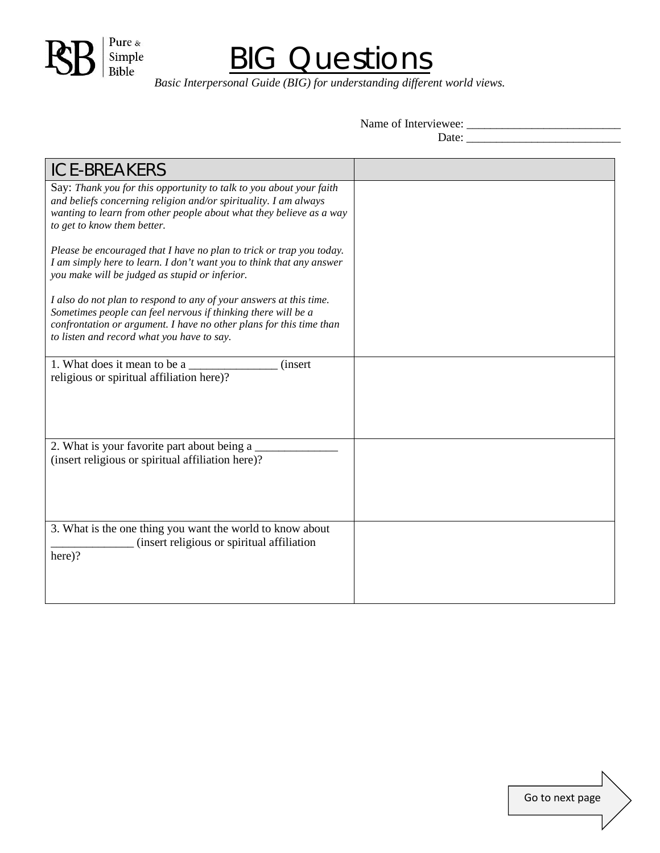

## **BIG Questions**

*Basic Interpersonal Guide (BIG) for understanding different world views.*

Name of Interviewee: \_\_\_\_\_\_\_\_\_\_\_\_\_\_\_\_\_\_\_\_\_\_\_\_\_\_

Date: \_\_\_\_\_\_\_\_\_\_\_\_\_\_\_\_\_\_\_\_\_\_\_\_\_\_

| <b>ICE-BREAKERS</b>                                                                                                                                                                                                                                      |  |
|----------------------------------------------------------------------------------------------------------------------------------------------------------------------------------------------------------------------------------------------------------|--|
| Say: Thank you for this opportunity to talk to you about your faith<br>and beliefs concerning religion and/or spirituality. I am always<br>wanting to learn from other people about what they believe as a way<br>to get to know them better.            |  |
| Please be encouraged that I have no plan to trick or trap you today.<br>I am simply here to learn. I don't want you to think that any answer<br>you make will be judged as stupid or inferior.                                                           |  |
| I also do not plan to respond to any of your answers at this time.<br>Sometimes people can feel nervous if thinking there will be a<br>confrontation or argument. I have no other plans for this time than<br>to listen and record what you have to say. |  |
| 1. What does it mean to be a<br><i>(insert)</i><br>religious or spiritual affiliation here)?                                                                                                                                                             |  |
| 2. What is your favorite part about being a<br>(insert religious or spiritual affiliation here)?                                                                                                                                                         |  |
| 3. What is the one thing you want the world to know about<br>(insert religious or spiritual affiliation<br>here)?                                                                                                                                        |  |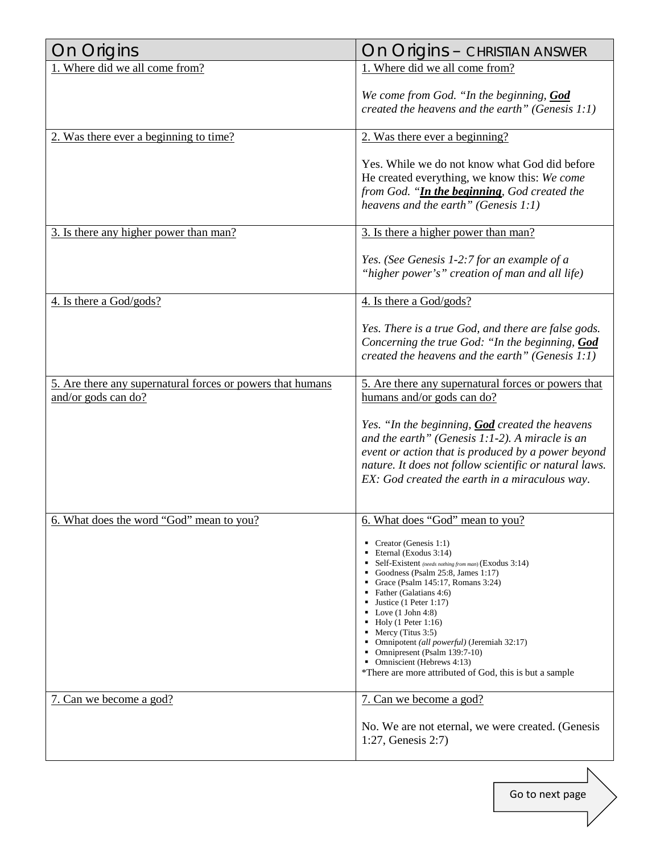| On Origins                                                                        | On Origins - CHRISTIAN ANSWER                                                                                                                                                                                                                                                                                                                                                                                                                                                                                                                                                     |
|-----------------------------------------------------------------------------------|-----------------------------------------------------------------------------------------------------------------------------------------------------------------------------------------------------------------------------------------------------------------------------------------------------------------------------------------------------------------------------------------------------------------------------------------------------------------------------------------------------------------------------------------------------------------------------------|
| 1. Where did we all come from?                                                    | 1. Where did we all come from?                                                                                                                                                                                                                                                                                                                                                                                                                                                                                                                                                    |
|                                                                                   | We come from God. "In the beginning, God<br>created the heavens and the earth" (Genesis $1:1$ )                                                                                                                                                                                                                                                                                                                                                                                                                                                                                   |
| 2. Was there ever a beginning to time?                                            | 2. Was there ever a beginning?                                                                                                                                                                                                                                                                                                                                                                                                                                                                                                                                                    |
|                                                                                   | Yes. While we do not know what God did before<br>He created everything, we know this: We come<br>from God. "In the beginning, God created the<br>heavens and the earth" (Genesis 1:1)                                                                                                                                                                                                                                                                                                                                                                                             |
| 3. Is there any higher power than man?                                            | 3. Is there a higher power than man?                                                                                                                                                                                                                                                                                                                                                                                                                                                                                                                                              |
|                                                                                   | Yes. (See Genesis 1-2:7 for an example of a<br>"higher power's" creation of man and all life)                                                                                                                                                                                                                                                                                                                                                                                                                                                                                     |
| 4. Is there a God/gods?                                                           | 4. Is there a God/gods?                                                                                                                                                                                                                                                                                                                                                                                                                                                                                                                                                           |
|                                                                                   | Yes. There is a true God, and there are false gods.<br>Concerning the true God: "In the beginning, God<br>created the heavens and the earth" (Genesis $1:1$ )                                                                                                                                                                                                                                                                                                                                                                                                                     |
| 5. Are there any supernatural forces or powers that humans<br>and/or gods can do? | 5. Are there any supernatural forces or powers that<br>humans and/or gods can do?                                                                                                                                                                                                                                                                                                                                                                                                                                                                                                 |
|                                                                                   | Yes. "In the beginning, <b>God</b> created the heavens<br>and the earth" (Genesis $1:1-2$ ). A miracle is an<br>event or action that is produced by a power beyond<br>nature. It does not follow scientific or natural laws.<br>EX: God created the earth in a miraculous way.                                                                                                                                                                                                                                                                                                    |
| 6. What does the word "God" mean to you?                                          | 6. What does "God" mean to you?<br>• Creator (Genesis 1:1)<br>Eternal (Exodus $3:14$ )<br>• Self-Existent (needs nothing from man) (Exodus 3:14)<br>Goodness (Psalm 25:8, James 1:17)<br>Grace (Psalm 145:17, Romans 3:24)<br>• Father (Galatians 4:6)<br><b>Justice</b> (1 Peter 1:17)<br>$\blacksquare$ Love (1 John 4:8)<br>$\blacksquare$ Holy (1 Peter 1:16)<br>• Mercy (Titus $3:5$ )<br>• Omnipotent <i>(all powerful)</i> (Jeremiah 32:17)<br>• Omnipresent (Psalm $139:7-10$ )<br>• Omniscient (Hebrews 4:13)<br>*There are more attributed of God, this is but a sample |
| 7. Can we become a god?                                                           | 7. Can we become a god?                                                                                                                                                                                                                                                                                                                                                                                                                                                                                                                                                           |
|                                                                                   | No. We are not eternal, we were created. (Genesis<br>1:27, Genesis $2:7$ )                                                                                                                                                                                                                                                                                                                                                                                                                                                                                                        |

Go to next page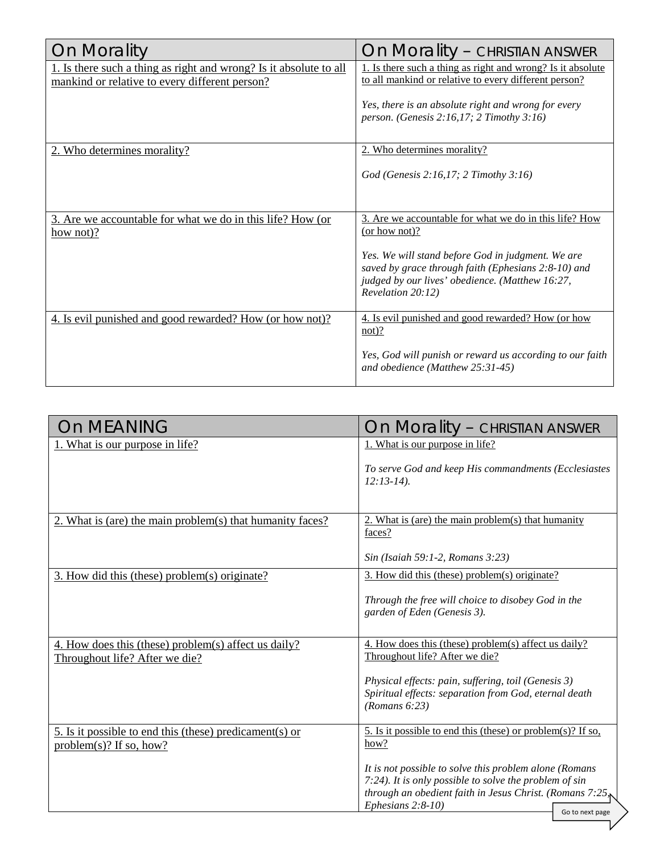| On Morality                                                                                                          | On Morality - CHRISTIAN ANSWER                                                                                                                                                   |
|----------------------------------------------------------------------------------------------------------------------|----------------------------------------------------------------------------------------------------------------------------------------------------------------------------------|
| 1. Is there such a thing as right and wrong? Is it absolute to all<br>mankind or relative to every different person? | 1. Is there such a thing as right and wrong? Is it absolute<br>to all mankind or relative to every different person?                                                             |
|                                                                                                                      | Yes, there is an absolute right and wrong for every<br>person. (Genesis 2:16,17; 2 Timothy 3:16)                                                                                 |
| 2. Who determines morality?                                                                                          | 2. Who determines morality?                                                                                                                                                      |
|                                                                                                                      | God (Genesis 2:16,17; 2 Timothy 3:16)                                                                                                                                            |
| 3. Are we accountable for what we do in this life? How (or<br>how not)?                                              | 3. Are we accountable for what we do in this life? How<br>(or how not)?                                                                                                          |
|                                                                                                                      | Yes. We will stand before God in judgment. We are<br>saved by grace through faith (Ephesians 2:8-10) and<br>judged by our lives' obedience. (Matthew 16:27,<br>Revelation 20:12) |
| 4. Is evil punished and good rewarded? How (or how not)?                                                             | 4. Is evil punished and good rewarded? How (or how<br>$not)$ ?                                                                                                                   |
|                                                                                                                      | Yes, God will punish or reward us according to our faith<br>and obedience (Matthew 25:31-45)                                                                                     |

| <b>On MEANING</b>                                                                            | On Morality – CHRISTIAN ANSWER                                                                                                                                                                    |
|----------------------------------------------------------------------------------------------|---------------------------------------------------------------------------------------------------------------------------------------------------------------------------------------------------|
| 1. What is our purpose in life?                                                              | 1. What is our purpose in life?                                                                                                                                                                   |
|                                                                                              | To serve God and keep His commandments (Ecclesiastes<br>$12:13-14$ ).                                                                                                                             |
| 2. What is (are) the main problem(s) that humanity faces?                                    | 2. What is (are) the main problem(s) that humanity<br>faces?<br>Sin (Isaiah 59:1-2, Romans 3:23)                                                                                                  |
|                                                                                              |                                                                                                                                                                                                   |
| 3. How did this (these) problem(s) originate?                                                | 3. How did this (these) problem(s) originate?<br>Through the free will choice to disobey God in the<br>garden of Eden (Genesis 3).                                                                |
| 4. How does this (these) problem(s) affect us daily?                                         | 4. How does this (these) problem(s) affect us daily?                                                                                                                                              |
| Throughout life? After we die?                                                               | Throughout life? After we die?                                                                                                                                                                    |
|                                                                                              | Physical effects: pain, suffering, toil (Genesis 3)<br>Spiritual effects: separation from God, eternal death<br>(Romans 6:23)                                                                     |
| <u>5. Is it possible to end this (these) predicament(s) or</u><br>$problem(s)$ ? If so, how? | 5. Is it possible to end this (these) or problem(s)? If so,<br>how?                                                                                                                               |
|                                                                                              | It is not possible to solve this problem alone (Romans<br>7:24). It is only possible to solve the problem of sin<br>through an obedient faith in Jesus Christ. (Romans 7:25,<br>Ephesians 2:8-10) |
|                                                                                              | Go to next page                                                                                                                                                                                   |